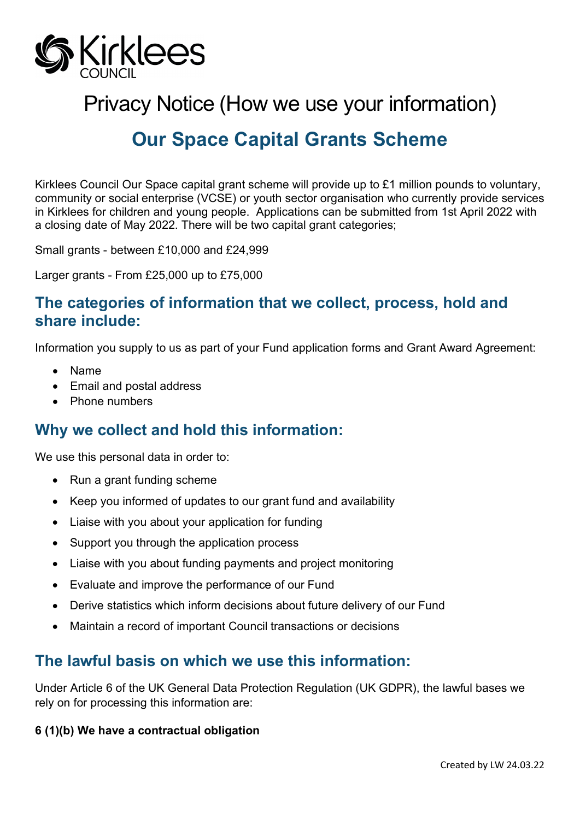

Privacy Notice (How we use your information)

# **Our Space Capital Grants Scheme**

Kirklees Council Our Space capital grant scheme will provide up to £1 million pounds to voluntary, community or social enterprise (VCSE) or youth sector organisation who currently provide services in Kirklees for children and young people. Applications can be submitted from 1st April 2022 with a closing date of May 2022. There will be two capital grant categories;

Small grants - between £10,000 and £24,999

Larger grants - From £25,000 up to £75,000

### **The categories of information that we collect, process, hold and share include:**

Information you supply to us as part of your Fund application forms and Grant Award Agreement:

- Name
- Email and postal address
- Phone numbers

### **Why we collect and hold this information:**

We use this personal data in order to:

- Run a grant funding scheme
- Keep you informed of updates to our grant fund and availability
- Liaise with you about your application for funding
- Support you through the application process
- Liaise with you about funding payments and project monitoring
- Evaluate and improve the performance of our Fund
- Derive statistics which inform decisions about future delivery of our Fund
- Maintain a record of important Council transactions or decisions

### **The lawful basis on which we use this information:**

Under Article 6 of the UK General Data Protection Regulation (UK GDPR), the lawful bases we rely on for processing this information are:

#### **6 (1)(b) We have a contractual obligation**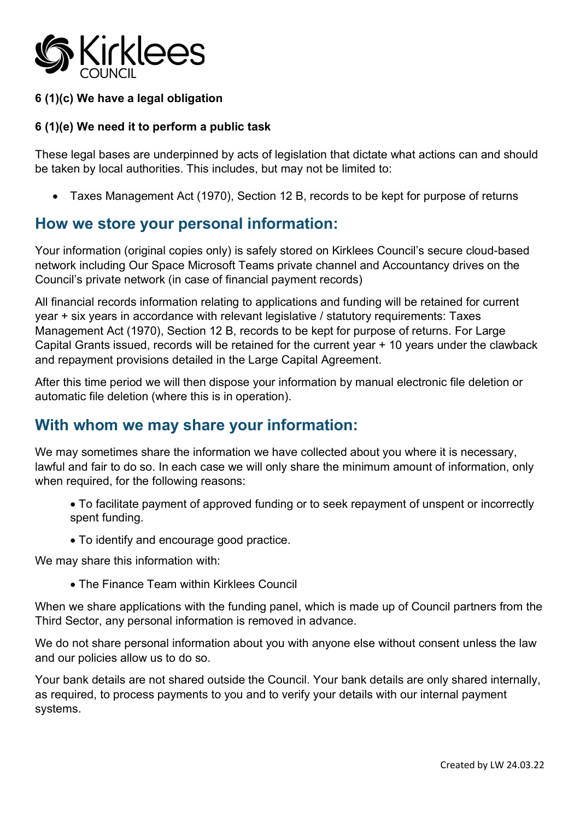

#### **6 (1)(c) We have a legal obligation**

#### **6 (1)(e) We need it to perform a public task**

These legal bases are underpinned by acts of legislation that dictate what actions can and should be taken by local authorities. This includes, but may not be limited to:

• Taxes Management Act (1970), Section 12 B, records to be kept for purpose of returns

### **How we store your personal information:**

Your information (original copies only) is safely stored on Kirklees Council's secure cloud-based network including Our Space Microsoft Teams private channel and Accountancy drives on the Council's private network (in case of financial payment records)

All financial records information relating to applications and funding will be retained for current year + six years in accordance with relevant legislative / statutory requirements: Taxes Management Act (1970), Section 12 B, records to be kept for purpose of returns. For Large Capital Grants issued, records will be retained for the current year + 10 years under the clawback and repayment provisions detailed in the Large Capital Agreement.

After this time period we will then dispose your information by manual electronic file deletion or automatic file deletion (where this is in operation).

### **With whom we may share your information:**

We may sometimes share the information we have collected about you where it is necessary, lawful and fair to do so. In each case we will only share the minimum amount of information, only when required, for the following reasons:

• To facilitate payment of approved funding or to seek repayment of unspent or incorrectly spent funding.

• To identify and encourage good practice.

We may share this information with:

• The Finance Team within Kirklees Council

When we share applications with the funding panel, which is made up of Council partners from the Third Sector, any personal information is removed in advance.

We do not share personal information about you with anyone else without consent unless the law and our policies allow us to do so.

Your bank details are not shared outside the Council. Your bank details are only shared internally, as required, to process payments to you and to verify your details with our internal payment systems.